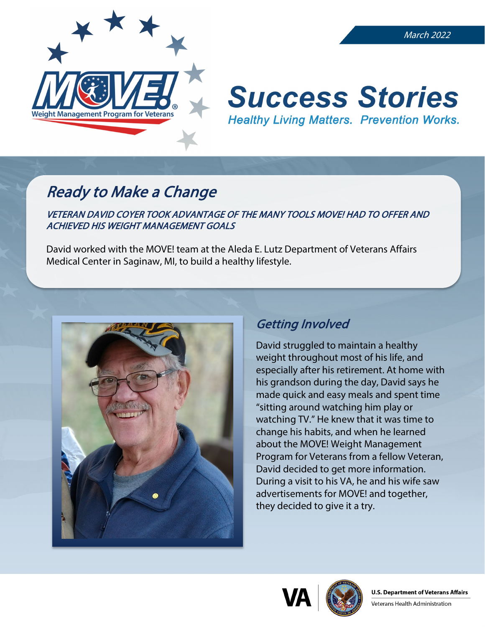

#### March 2022

# **Success Stories Healthy Living Matters. Prevention Works.**

## Ready to Make a Change

VETERAN DAVID COYER TOOK ADVANTAGE OF THE MANY TOOLS MOVE! HAD TO OFFER AND ACHIEVED HIS WEIGHT MANAGEMENT GOALS

David worked with the MOVE! team at the Aleda E. Lutz Department of Veterans Affairs Medical Center in Saginaw, MI, to build a healthy lifestyle.



#### Getting Involved

David struggled to maintain a healthy weight throughout most of his life, and especially after his retirement. At home with his grandson during the day, David says he made quick and easy meals and spent time "sitting around watching him play or watching TV." He knew that it was time to change his habits, and when he learned about the MOVE! Weight Management Program for Veterans from a fellow Veteran, David decided to get more information. During a visit to his VA, he and his wife saw advertisements for MOVE! and together, they decided to give it a try.



Veterans Health Administration